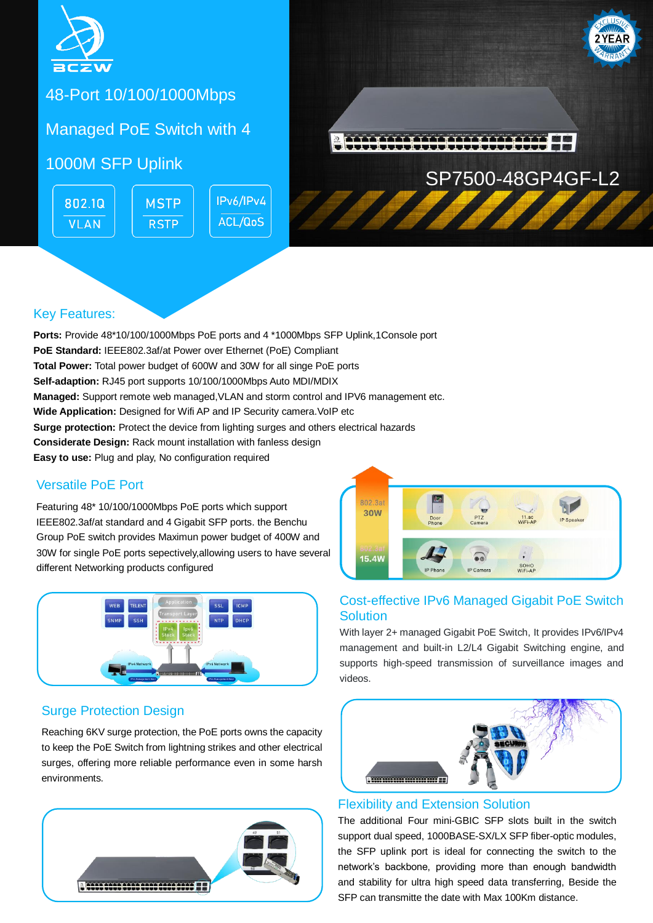

48-Port 10/100/1000Mbps

Managed PoE Switch with 4

## 1000M SFP Uplink

802.10 **MSTP VLAN RSTP** 

IPv6/IPv4 **ACL/QoS** 



## Key Features:

**Ports:** Provide 48\*10/100/1000Mbps PoE ports and 4 \*1000Mbps SFP Uplink,1Console port **PoE Standard:** IEEE802.3af/at Power over Ethernet (PoE) Compliant **Total Power:** Total power budget of 600W and 30W for all singe PoE ports **Self-adaption:** RJ45 port supports 10/100/1000Mbps Auto MDI/MDIX **Managed:** Support remote web managed,VLAN and storm control and IPV6 management etc. **Wide Application:** Designed for Wifi AP and IP Security camera. VoIP etc **Surge protection:** Protect the device from lighting surges and others electrical hazards **Considerate Design:** Rack mount installation with fanless design **Easy to use:** Plug and play, No configuration required

## Versatile PoE Port

Featuring 48\* 10/100/1000Mbps PoE ports which support IEEE802.3af/at standard and 4 Gigabit SFP ports. the Benchu Group PoE switch provides Maximun power budget of 400W and 30W for single PoE ports sepectively,allowing users to have several different Networking products configured



## Surge Protection Design

Reaching 6KV surge protection, the PoE ports owns the capacity to keep the PoE Switch from lightning strikes and other electrical surges, offering more reliable performance even in some harsh environments.





### Cost-effective IPv6 Managed Gigabit PoE Switch **Solution**

With layer 2+ managed Gigabit PoE Switch, It provides IPv6/IPv4 management and built-in L2/L4 Gigabit Switching engine, and supports high-speed transmission of surveillance images and videos.



#### Flexibility and Extension Solution

The additional Four mini-GBIC SFP slots built in the switch support dual speed, 1000BASE-SX/LX SFP fiber-optic modules, the SFP uplink port is ideal for connecting the switch to the network's backbone, providing more than enough bandwidth and stability for ultra high speed data transferring, Beside the SFP can transmitte the date with Max 100Km distance.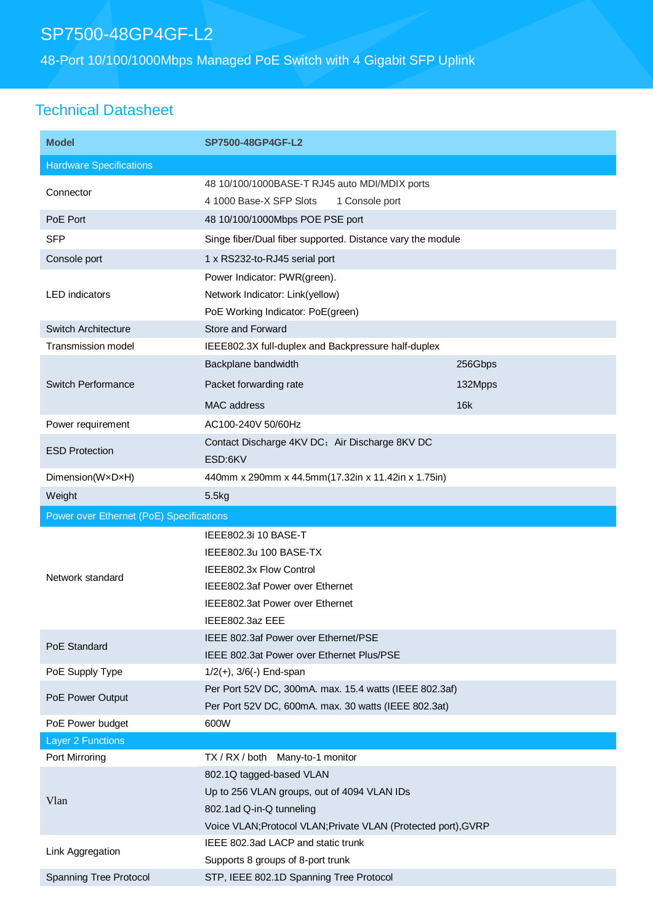# SP7500-48GP4GF-L2

48-Port 10/100/1000Mbps Managed PoE Switch with 4 Gigabit SFP Uplink

# Technical Datasheet

| <b>Model</b>                             | SP7500-48GP4GF-L2                                                                                                                                                     |         |  |
|------------------------------------------|-----------------------------------------------------------------------------------------------------------------------------------------------------------------------|---------|--|
| <b>Hardware Specifications</b>           |                                                                                                                                                                       |         |  |
| Connector<br>PoE Port                    | 48 10/100/1000BASE-T RJ45 auto MDI/MDIX ports<br>4 1000 Base-X SFP Slots<br>1 Console port                                                                            |         |  |
|                                          | 48 10/100/1000Mbps POE PSE port                                                                                                                                       |         |  |
| <b>SFP</b>                               | Singe fiber/Dual fiber supported. Distance vary the module                                                                                                            |         |  |
| Console port                             | 1 x RS232-to-RJ45 serial port                                                                                                                                         |         |  |
| <b>LED</b> indicators                    | Power Indicator: PWR(green).<br>Network Indicator: Link(yellow)<br>PoE Working Indicator: PoE(green)                                                                  |         |  |
| Switch Architecture                      | Store and Forward                                                                                                                                                     |         |  |
| <b>Transmission model</b>                | IEEE802.3X full-duplex and Backpressure half-duplex                                                                                                                   |         |  |
|                                          | Backplane bandwidth                                                                                                                                                   | 256Gbps |  |
| <b>Switch Performance</b>                | Packet forwarding rate                                                                                                                                                | 132Mpps |  |
|                                          | <b>MAC</b> address                                                                                                                                                    | 16k     |  |
| Power requirement                        | AC100-240V 50/60Hz                                                                                                                                                    |         |  |
| <b>ESD Protection</b>                    | Contact Discharge 4KV DC; Air Discharge 8KV DC<br>ESD:6KV                                                                                                             |         |  |
| Dimension(WxDxH)                         | 440mm x 290mm x 44.5mm(17.32in x 11.42in x 1.75in)                                                                                                                    |         |  |
| Weight                                   | 5.5kg                                                                                                                                                                 |         |  |
|                                          |                                                                                                                                                                       |         |  |
| Power over Ethernet (PoE) Specifications |                                                                                                                                                                       |         |  |
| Network standard                         | IEEE802.3i 10 BASE-T<br>IEEE802.3u 100 BASE-TX<br>IEEE802.3x Flow Control<br>IEEE802.3af Power over Ethernet<br>IEEE802.3at Power over Ethernet                       |         |  |
| PoE Standard                             | IEEE802.3az EEE<br>IEEE 802.3af Power over Ethernet/PSE                                                                                                               |         |  |
|                                          | IEEE 802.3at Power over Ethernet Plus/PSE                                                                                                                             |         |  |
| PoE Supply Type<br>PoE Power Output      | $1/2(+)$ , $3/6(-)$ End-span<br>Per Port 52V DC, 300mA. max. 15.4 watts (IEEE 802.3af)<br>Per Port 52V DC, 600mA. max. 30 watts (IEEE 802.3at)                        |         |  |
| PoE Power budget                         | 600W                                                                                                                                                                  |         |  |
| Layer 2 Functions                        |                                                                                                                                                                       |         |  |
| Port Mirroring                           | TX / RX / both Many-to-1 monitor                                                                                                                                      |         |  |
| Vlan                                     | 802.1Q tagged-based VLAN<br>Up to 256 VLAN groups, out of 4094 VLAN IDs<br>802.1ad Q-in-Q tunneling<br>Voice VLAN; Protocol VLAN; Private VLAN (Protected port), GVRP |         |  |
| Link Aggregation                         | IEEE 802.3ad LACP and static trunk<br>Supports 8 groups of 8-port trunk                                                                                               |         |  |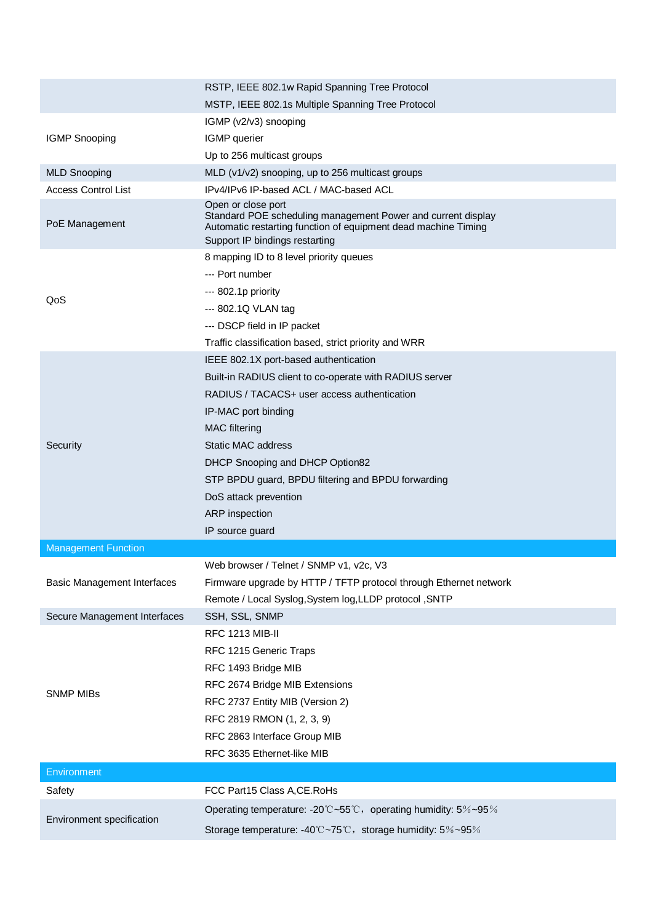|                                    | RSTP, IEEE 802.1w Rapid Spanning Tree Protocol                                                                                                                                         |
|------------------------------------|----------------------------------------------------------------------------------------------------------------------------------------------------------------------------------------|
|                                    | MSTP, IEEE 802.1s Multiple Spanning Tree Protocol                                                                                                                                      |
|                                    | IGMP (v2/v3) snooping                                                                                                                                                                  |
| <b>IGMP Snooping</b>               | IGMP querier                                                                                                                                                                           |
|                                    | Up to 256 multicast groups                                                                                                                                                             |
| <b>MLD Snooping</b>                | MLD (v1/v2) snooping, up to 256 multicast groups                                                                                                                                       |
| <b>Access Control List</b>         | IPv4/IPv6 IP-based ACL / MAC-based ACL                                                                                                                                                 |
| PoE Management                     | Open or close port<br>Standard POE scheduling management Power and current display<br>Automatic restarting function of equipment dead machine Timing<br>Support IP bindings restarting |
|                                    | 8 mapping ID to 8 level priority queues                                                                                                                                                |
|                                    | --- Port number                                                                                                                                                                        |
|                                    | --- 802.1p priority                                                                                                                                                                    |
| QoS                                | --- 802.1Q VLAN tag                                                                                                                                                                    |
|                                    | --- DSCP field in IP packet                                                                                                                                                            |
|                                    | Traffic classification based, strict priority and WRR                                                                                                                                  |
|                                    | IEEE 802.1X port-based authentication                                                                                                                                                  |
|                                    | Built-in RADIUS client to co-operate with RADIUS server                                                                                                                                |
|                                    | RADIUS / TACACS+ user access authentication                                                                                                                                            |
|                                    | IP-MAC port binding                                                                                                                                                                    |
|                                    | <b>MAC</b> filtering                                                                                                                                                                   |
| Security                           | <b>Static MAC address</b>                                                                                                                                                              |
|                                    | DHCP Snooping and DHCP Option82                                                                                                                                                        |
|                                    | STP BPDU guard, BPDU filtering and BPDU forwarding                                                                                                                                     |
|                                    | DoS attack prevention                                                                                                                                                                  |
|                                    | ARP inspection                                                                                                                                                                         |
|                                    | IP source guard                                                                                                                                                                        |
| <b>Management Function</b>         |                                                                                                                                                                                        |
|                                    | Web browser / Telnet / SNMP v1, v2c, V3                                                                                                                                                |
| <b>Basic Management Interfaces</b> | Firmware upgrade by HTTP / TFTP protocol through Ethernet network                                                                                                                      |
|                                    | Remote / Local Syslog, System log, LLDP protocol, SNTP                                                                                                                                 |
| Secure Management Interfaces       | SSH, SSL, SNMP                                                                                                                                                                         |
|                                    | <b>RFC 1213 MIB-II</b>                                                                                                                                                                 |
| <b>SNMP MIBs</b>                   | RFC 1215 Generic Traps                                                                                                                                                                 |
|                                    | RFC 1493 Bridge MIB                                                                                                                                                                    |
|                                    | RFC 2674 Bridge MIB Extensions                                                                                                                                                         |
|                                    | RFC 2737 Entity MIB (Version 2)                                                                                                                                                        |
|                                    | RFC 2819 RMON (1, 2, 3, 9)                                                                                                                                                             |
|                                    | RFC 2863 Interface Group MIB                                                                                                                                                           |
|                                    | RFC 3635 Ethernet-like MIB                                                                                                                                                             |
| Environment                        |                                                                                                                                                                                        |
| Safety                             | FCC Part15 Class A, CE. RoHs                                                                                                                                                           |
|                                    | Operating temperature: -20°C~55°C, operating humidity: 5%~95%                                                                                                                          |
| Environment specification          | Storage temperature: -40°C~75°C, storage humidity: 5%~95%                                                                                                                              |
|                                    |                                                                                                                                                                                        |